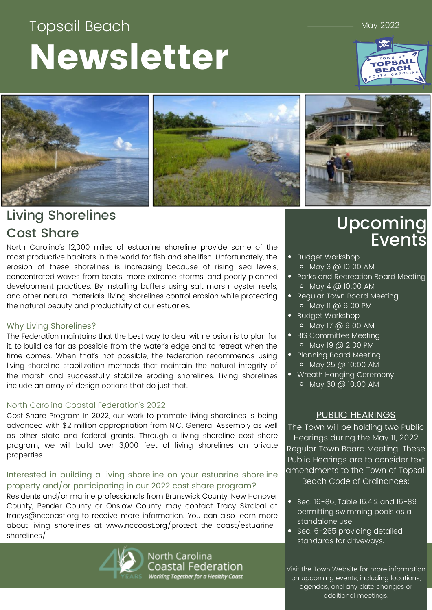# Topsail Beach Newsletter

May 2022

# PSAI





## Living Shorelines Cost Share

North Carolina's 12,000 miles of estuarine shoreline provide some of the most productive habitats in the world for fish and shellfish. Unfortunately, the erosion of these shorelines is increasing because of rising sea levels, concentrated waves from boats, more extreme storms, and poorly planned development practices. By installing buffers using salt marsh, oyster reefs, and other natural materials, living shorelines control erosion while protecting the natural beauty and productivity of our estuaries.

#### Why Living Shorelines?

The Federation maintains that the best way to deal with erosion is to plan for it, to build as far as possible from the water's edge and to retreat when the time comes. When that's not possible, the federation recommends using living shoreline stabilization methods that maintain the natural integrity of the marsh and successfully stabilize eroding shorelines. Living shorelines include an array of design options that do just that.

#### North Carolina Coastal Federation's 2022

Cost Share Program In 2022, our work to promote living shorelines is being advanced with \$2 million appropriation from N.C. General Assembly as well as other state and federal grants. Through a living shoreline cost share program, we will build over 3,000 feet of living shorelines on private properties.

#### Interested in building a living shoreline on your estuarine shoreline property and/or participating in our 2022 cost share program?

Residents and/or marine professionals from Brunswick County, New Hanover County, Pender County or Onslow County may contact Tracy Skrabal at tracys@nccoast.org to receive more information. You can also learn more about living shorelines at www.nccoast.org/protect-the-coast/estuarineshorelines/



North Carolina Coastal Federation Working Together for a Healthy Coast

# Upcoming Events

- Budget Workshop May 3 @ 10:00 AM
- Parks and Recreation Board Meeting
- $\circ$  May 4 @ 10:00 AM • Regular Town Board Meeting
- May 11 @ 6:00 PM **•** Budget Workshop
- May 17 @ 9:00 AM
- BIS Committee Meeting May 19 @ 2:00 PM
- Planning Board Meeting May 25 @ 10:00 AM
- Wreath Hanging Ceremony
	- May 30 @ 10:00 AM

#### PUBLIC HEARINGS

The Town will be holding two Public Hearings during the May 11, 2022 Regular Town Board Meeting. These Public Hearings are to consider text amendments to the Town of Topsail

Beach Code of Ordinances:

- $\overline{\phantom{1}}$  Sec. 16-86, Table 16.4.2 and 16-89 permitting swimming pools as a standalone use
- Sec. 6-265 providing detailed standards for driveways.

Visit the Town Website for more information on upcoming events, including locations, agendas, and any date changes or additional meetings.